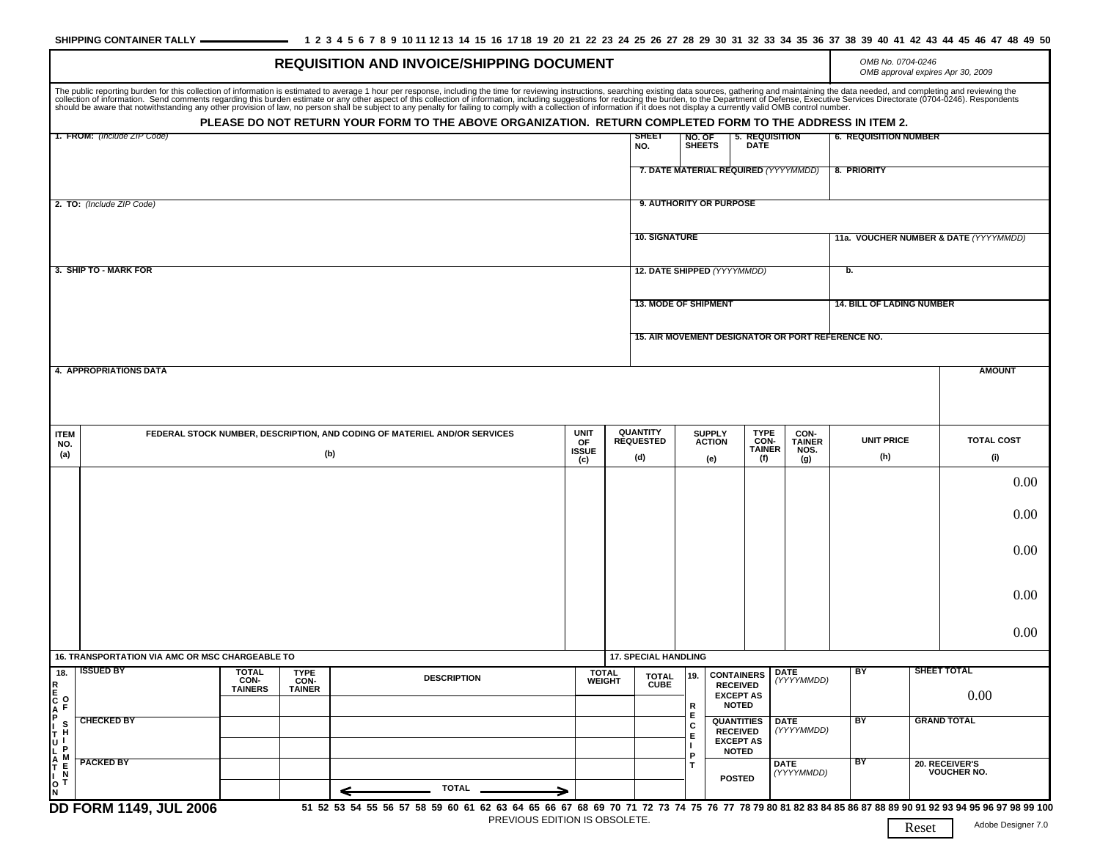## SHIPPING CONTAINER TALLY **\_\_\_\_\_\_\_\_\_\_\_\_\_\_\_** 1 2 3 4 5 6 7 8 9 10 11 12 13 14 15 16 17 18 19 20 21 22 23 24 25 26 27 28 29 30 31 32 33 34 35 36 37 38 39 40 41 42 43 44 45 46 47 48 49 50

| <b>REQUISITION AND INVOICE/SHIPPING DOCUMENT</b>              |                                                                                  |                                               |                                             |                                                                                                                                                                                                                                                                                                                                             |                               |                                            |                                                                       |                                                                          |                                                                                     |                                                              | OMB No. 0704-0246<br>OMB approval expires Apr 30, 2009 |                          |  |
|---------------------------------------------------------------|----------------------------------------------------------------------------------|-----------------------------------------------|---------------------------------------------|---------------------------------------------------------------------------------------------------------------------------------------------------------------------------------------------------------------------------------------------------------------------------------------------------------------------------------------------|-------------------------------|--------------------------------------------|-----------------------------------------------------------------------|--------------------------------------------------------------------------|-------------------------------------------------------------------------------------|--------------------------------------------------------------|--------------------------------------------------------|--------------------------|--|
|                                                               |                                                                                  |                                               |                                             | The public reporting burden for this collection of information is estimated to average 1 hour per response, including the time for reviewing instructions, searching existing data sources, gathering and maintaining the data<br>PLEASE DO NOT RETURN YOUR FORM TO THE ABOVE ORGANIZATION. RETURN COMPLETED FORM TO THE ADDRESS IN ITEM 2. |                               |                                            |                                                                       |                                                                          |                                                                                     |                                                              |                                                        |                          |  |
| जाटा<br>1. FROM: (Include ZIP Code)<br>NO.                    |                                                                                  |                                               |                                             |                                                                                                                                                                                                                                                                                                                                             |                               |                                            |                                                                       | NO. OF<br><b>SHEETS</b><br><b>DATE</b>                                   | <b>6. REQUISITION NUMBER</b><br>5. REQUISITION                                      |                                                              |                                                        |                          |  |
|                                                               |                                                                                  |                                               |                                             |                                                                                                                                                                                                                                                                                                                                             |                               |                                            | 7. DATE MATERIAL REQUIRED (YYYYMMDD)                                  |                                                                          |                                                                                     |                                                              | 8. PRIORITY                                            |                          |  |
| 2. TO: (Include ZIP Code)                                     |                                                                                  |                                               |                                             |                                                                                                                                                                                                                                                                                                                                             |                               |                                            | 9. AUTHORITY OR PURPOSE                                               |                                                                          |                                                                                     |                                                              |                                                        |                          |  |
|                                                               |                                                                                  |                                               |                                             |                                                                                                                                                                                                                                                                                                                                             |                               |                                            | <b>10. SIGNATURE</b>                                                  |                                                                          |                                                                                     |                                                              | 11a. VOUCHER NUMBER & DATE (YYYYMMDD)                  |                          |  |
| 3. SHIP TO - MARK FOR                                         |                                                                                  |                                               |                                             |                                                                                                                                                                                                                                                                                                                                             |                               |                                            | 12. DATE SHIPPED (YYYYMMDD)                                           |                                                                          |                                                                                     |                                                              | b.                                                     |                          |  |
|                                                               |                                                                                  |                                               |                                             |                                                                                                                                                                                                                                                                                                                                             |                               |                                            | <b>13. MODE OF SHIPMENT</b>                                           |                                                                          |                                                                                     |                                                              | <b>14. BILL OF LADING NUMBER</b>                       |                          |  |
|                                                               |                                                                                  |                                               |                                             |                                                                                                                                                                                                                                                                                                                                             |                               |                                            |                                                                       | 15. AIR MOVEMENT DESIGNATOR OR PORT REFERENCE NO.                        |                                                                                     |                                                              |                                                        |                          |  |
| <b>4. APPROPRIATIONS DATA</b>                                 |                                                                                  |                                               |                                             |                                                                                                                                                                                                                                                                                                                                             |                               |                                            |                                                                       |                                                                          |                                                                                     | <b>AMOUNT</b>                                                |                                                        |                          |  |
|                                                               |                                                                                  |                                               |                                             |                                                                                                                                                                                                                                                                                                                                             |                               |                                            |                                                                       |                                                                          |                                                                                     |                                                              |                                                        |                          |  |
| <b>ITEM</b><br>NO.<br>(a)                                     | FEDERAL STOCK NUMBER, DESCRIPTION, AND CODING OF MATERIEL AND/OR SERVICES<br>(b) |                                               |                                             |                                                                                                                                                                                                                                                                                                                                             |                               | <b>QUANTITY</b><br><b>REQUESTED</b><br>(d) | <b>SUPPLY</b><br><b>ACTION</b><br>(e)                                 |                                                                          | <b>TYPE</b><br>CON-<br>CON-<br><b>TAINER</b><br><b>TAINER</b><br>NOS.<br>(f)<br>(g) | <b>UNIT PRICE</b><br>(h)                                     |                                                        | <b>TOTAL COST</b><br>(i) |  |
|                                                               |                                                                                  |                                               |                                             |                                                                                                                                                                                                                                                                                                                                             |                               |                                            |                                                                       |                                                                          |                                                                                     |                                                              |                                                        | 0.00                     |  |
|                                                               |                                                                                  |                                               |                                             |                                                                                                                                                                                                                                                                                                                                             |                               |                                            |                                                                       |                                                                          |                                                                                     |                                                              |                                                        | 0.00                     |  |
|                                                               |                                                                                  |                                               |                                             |                                                                                                                                                                                                                                                                                                                                             |                               |                                            |                                                                       |                                                                          |                                                                                     |                                                              |                                                        | 0.00                     |  |
|                                                               |                                                                                  |                                               |                                             |                                                                                                                                                                                                                                                                                                                                             |                               |                                            |                                                                       |                                                                          |                                                                                     |                                                              |                                                        | 0.00                     |  |
|                                                               |                                                                                  |                                               |                                             |                                                                                                                                                                                                                                                                                                                                             |                               |                                            |                                                                       |                                                                          |                                                                                     |                                                              |                                                        | 0.00                     |  |
|                                                               | 16. TRANSPORTATION VIA AMC OR MSC CHARGEABLE TO                                  |                                               |                                             |                                                                                                                                                                                                                                                                                                                                             |                               |                                            | <b>17. SPECIAL HANDLING</b>                                           |                                                                          |                                                                                     |                                                              |                                                        |                          |  |
| 18.                                                           | <b>TISSUED BY</b>                                                                | <b>TOTAL</b><br><b>CON-</b><br><b>TAINERS</b> | <b>TYPE</b><br><b>CON-</b><br><b>TAINER</b> | <b>DESCRIPTION</b>                                                                                                                                                                                                                                                                                                                          | <b>TOTAL</b><br><b>WEIGHT</b> | <b>TOTAL</b><br><b>CUBE</b>                |                                                                       | 19. CONTAINERS DATE<br><b>RECEIVED</b><br><b>EXCEPT AS</b>               | (YYYYMMDD)                                                                          | <b>SHEET TOTAL</b><br>BY<br>0.00<br><b>GRAND TOTAL</b><br>BY |                                                        |                          |  |
|                                                               | <b>CHECKED BY</b>                                                                |                                               |                                             |                                                                                                                                                                                                                                                                                                                                             |                               |                                            | R<br>Е<br>c<br>Е                                                      | <b>NOTED</b><br><b>QUANTITIES</b><br><b>RECEIVED</b><br><b>EXCEPT AS</b> | <b>DATE</b><br>(YYYYMMDD)                                                           |                                                              |                                                        |                          |  |
| P<br>  T<br>U<br>L<br>A<br>T<br>  L<br>A<br>T<br> <br>$I_0$ T | <b>PACKED BY</b>                                                                 |                                               |                                             |                                                                                                                                                                                                                                                                                                                                             |                               |                                            | <b>NOTED</b><br>P<br><b>DATE</b><br>T.<br>(YYYYMMDD)<br><b>POSTED</b> |                                                                          | BY                                                                                  |                                                              | 20. RECEIVER'S<br><b>VOUCHER NO.</b>                   |                          |  |
| N                                                             | <b>DD FORM 1149, JUL 2006</b>                                                    |                                               |                                             | <b>TOTAL</b><br>51 52 53 54 55 56 57 58 59 60 61 62 63 64 65 66 67 68 69 70 71 72 73 74 75 76 77 78 79 80 81 82 83 84 85 86 87 88 89 90 91 92 93 94 95 96 97 98 99 90 91 92 93 94 95 96 97 98 99 100                                                                                                                                        | ⇒                             |                                            |                                                                       |                                                                          |                                                                                     |                                                              |                                                        |                          |  |